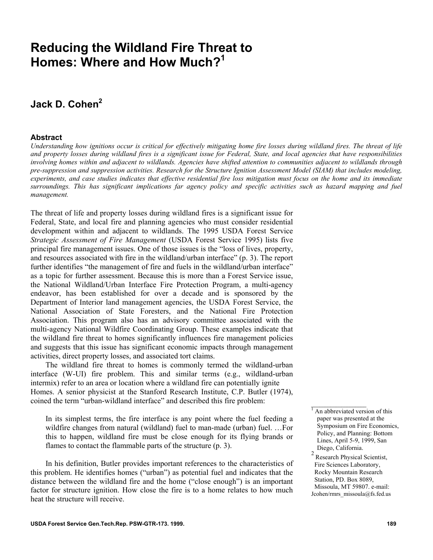# **Reducing the Wildland Fire Threat to Homes: Where and How Much?<sup>1</sup>**

## Jack D. Cohen<sup>2</sup>

#### **Abstract**

*Understanding how ignitions occur is critical for effectively mitigating home fire losses during wildland fires. The threat of life and property losses during wildland fires is a significant issue for Federal, State, and local agencies that have responsibilities involving homes within and adjacent to wildlands. Agencies have shifted attention to communities adjacent to wildlands through pre-suppression and suppression activities. Research for the Structure Ignition Assessment Model (SIAM) that includes modeling, experiments, and case studies indicates that effective residential fire loss mitigation must focus on the home and its immediate surroundings. This has significant implications far agency policy and specific activities such as hazard mapping and fuel management.* 

The threat of life and property losses during wildland fires is a significant issue for Federal, State, and local fire and planning agencies who must consider residential development within and adjacent to wildlands. The 1995 USDA Forest Service *Strategic Assessment of Fire Management* (USDA Forest Service 1995) lists five principal fire management issues. One of those issues is the "loss of lives, property, and resources associated with fire in the wildland/urban interface" (p. 3). The report further identifies "the management of fire and fuels in the wildland/urban interface" as a topic for further assessment. Because this is more than a Forest Service issue, the National Wildland/Urban Interface Fire Protection Program, a multi-agency endeavor, has been established for over a decade and is sponsored by the Department of Interior land management agencies, the USDA Forest Service, the National Association of State Foresters, and the National Fire Protection Association. This program also has an advisory committee associated with the multi-agency National Wildfire Coordinating Group. These examples indicate that the wildland fire threat to homes significantly influences fire management policies and suggests that this issue has significant economic impacts through management activities, direct property losses, and associated tort claims.

The wildland fire threat to homes is commonly termed the wildland-urban interface (W-UI) fire problem. This and similar terms (e.g., wildland-urban intermix) refer to an area or location where a wildland fire can potentially ignite Homes. A senior physicist at the Stanford Research Institute, C.P. Butler (1974), coined the term "urban-wildland interface" and described this fire problem:

In its simplest terms, the fire interface is any point where the fuel feeding a wildfire changes from natural (wildland) fuel to man-made (urban) fuel. …For this to happen, wildland fire must be close enough for its flying brands or flames to contact the flammable parts of the structure (p. 3).

In his definition, Butler provides important references to the characteristics of this problem. He identifies homes ("urban") as potential fuel and indicates that the distance between the wildland fire and the home ("close enough") is an important factor for structure ignition. How close the fire is to a home relates to how much heat the structure will receive.

 $\_$ 

<sup>&</sup>lt;sup>1</sup> An abbreviated version of this paper was presented at the Symposium on Fire Economics, Policy, and Planning: Bottom Lines, April 5-9, 1999, San Diego, California.

<sup>2</sup> Research Physical Scientist, Fire Sciences Laboratory, Rocky Mountain Research Station, PD. Box 8089, Missoula, MT 59807. e-mail: Jcohen/rmrs\_missoula@fs.fed.us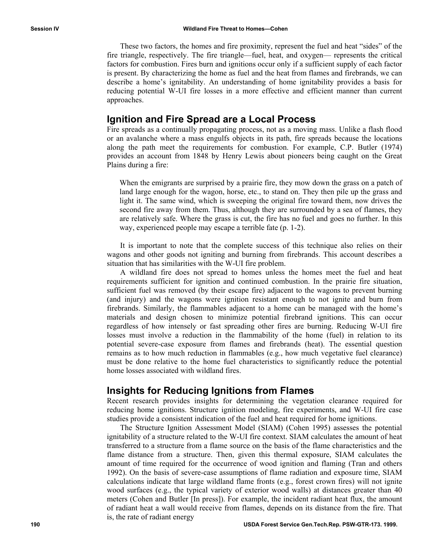These two factors, the homes and fire proximity, represent the fuel and heat "sides" of the fire triangle, respectively. The fire triangle—fuel, heat, and oxygen— represents the critical factors for combustion. Fires burn and ignitions occur only if a sufficient supply of each factor is present. By characterizing the home as fuel and the heat from flames and firebrands, we can describe a home's ignitability. An understanding of home ignitability provides a basis for reducing potential W-UI fire losses in a more effective and efficient manner than current approaches.

#### **Ignition and Fire Spread are a Local Process**

Fire spreads as a continually propagating process, not as a moving mass. Unlike a flash flood or an avalanche where a mass engulfs objects in its path, fire spreads because the locations along the path meet the requirements for combustion. For example, C.P. Butler (1974) provides an account from 1848 by Henry Lewis about pioneers being caught on the Great Plains during a fire:

When the emigrants are surprised by a prairie fire, they mow down the grass on a patch of land large enough for the wagon, horse, etc., to stand on. They then pile up the grass and light it. The same wind, which is sweeping the original fire toward them, now drives the second fire away from them. Thus, although they are surrounded by a sea of flames, they are relatively safe. Where the grass is cut, the fire has no fuel and goes no further. In this way, experienced people may escape a terrible fate (p. 1-2).

It is important to note that the complete success of this technique also relies on their wagons and other goods not igniting and burning from firebrands. This account describes a situation that has similarities with the W-UI fire problem.

A wildland fire does not spread to homes unless the homes meet the fuel and heat requirements sufficient for ignition and continued combustion. In the prairie fire situation, sufficient fuel was removed (by their escape fire) adjacent to the wagons to prevent burning (and injury) and the wagons were ignition resistant enough to not ignite and burn from firebrands. Similarly, the flammables adjacent to a home can be managed with the home's materials and design chosen to minimize potential firebrand ignitions. This can occur regardless of how intensely or fast spreading other fires are burning. Reducing W-UI fire losses must involve a reduction in the flammability of the home (fuel) in relation to its potential severe-case exposure from flames and firebrands (heat). The essential question remains as to how much reduction in flammables (e.g., how much vegetative fuel clearance) must be done relative to the home fuel characteristics to significantly reduce the potential home losses associated with wildland fires.

#### **Insights for Reducing Ignitions from Flames**

Recent research provides insights for determining the vegetation clearance required for reducing home ignitions. Structure ignition modeling, fire experiments, and W-UI fire case studies provide a consistent indication of the fuel and heat required for home ignitions.

The Structure Ignition Assessment Model (SIAM) (Cohen 1995) assesses the potential ignitability of a structure related to the W-UI fire context. SIAM calculates the amount of heat transferred to a structure from a flame source on the basis of the flame characteristics and the flame distance from a structure. Then, given this thermal exposure, SIAM calculates the amount of time required for the occurrence of wood ignition and flaming (Tran and others 1992). On the basis of severe-case assumptions of flame radiation and exposure time, SIAM calculations indicate that large wildland flame fronts (e.g., forest crown fires) will not ignite wood surfaces (e.g., the typical variety of exterior wood walls) at distances greater than 40 meters (Cohen and Butler [In press]). For example, the incident radiant heat flux, the amount of radiant heat a wall would receive from flames, depends on its distance from the fire. That is, the rate of radiant energy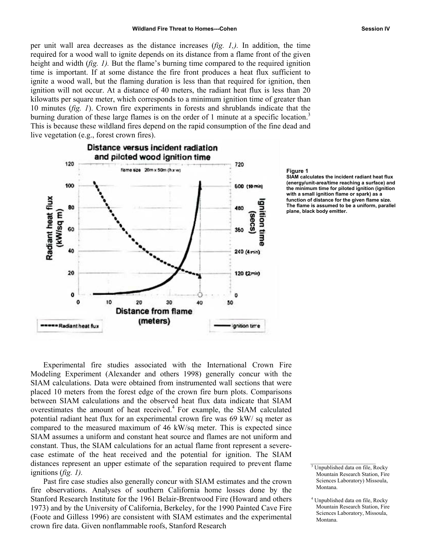per unit wall area decreases as the distance increases (*fig. 1,).* In addition, the time required for a wood wall to ignite depends on its distance from a flame front of the given height and width *(fig. 1)*. But the flame's burning time compared to the required ignition time is important. If at some distance the fire front produces a heat flux sufficient to ignite a wood wall, but the flaming duration is less than that required for ignition, then ignition will not occur. At a distance of 40 meters, the radiant heat flux is less than 20 kilowatts per square meter, which corresponds to a minimum ignition time of greater than 10 minutes (*fig. 1*). Crown fire experiments in forests and shrublands indicate that the burning duration of these large flames is on the order of 1 minute at a specific location.<sup>3</sup> This is because these wildland fires depend on the rapid consumption of the fine dead and live vegetation (e.g., forest crown fires).



#### **gure 1 Fi**

**IAM calcul S ates the incident radiant heat flux nergy/unit (e -area/time reaching a surface) and the minim um time for piloted ignition (ignition th a small ignition flame or spark) as a wi nction of distance for the given flame size. fu e flame is assumed to be a uniform, parallel Th ane, black body emitter. pl**

Experimental fire studies associated with the International Crown Fire Modeling Experiment (Alexander and others 1998) generally concur with the SIAM calculations. Data were obtained from instrumented wall sections that were placed 10 meters from the forest edge of the crown fire burn plots. Comparisons between SIAM calculations and the observed heat flux data indicate that SIAM overestimates the amount of heat received. $4$  For example, the SIAM calculated pote ntial radiant heat flux for an experimental crown fire was 69 kW/ sq meter as compared to the measured maximum of 46 kW/sq meter. This is expected since SIAM assumes a uniform and constant heat source and flames are not uniform and constant. Thus, the SIAM calculations for an actual flame front represent a severecase estimate of the heat received and the potential for ignition. The SIAM distances represent an upper estimate of the separation required to prevent flame ignitions (*fig. 1).* 

crown fire data. Given nonflammable roofs, Stanford Research Past fire case studies also generally concur with SIAM estimates and the crown fire observations. Analyses of southern California home losses done by the Stanford Research Institute for the 1961 Belair-Brentwood Fire (Howard and others 1973) and by the University of California, Berkeley, for the 1990 Painted Cave Fire (Foote and Gilless 1996) are consistent with SIAM estimates and the experimental  $\mathcal{L}_\text{max}$ 

Unpublished data on file, Rocky Mountain Research Station, Fire Sciences Laboratory) Missoula, Montana.

 <sup>4</sup> Unpublished data on file, Rocky Mountain Research Station, Fire Sciences Laboratory, Missoula, Montana.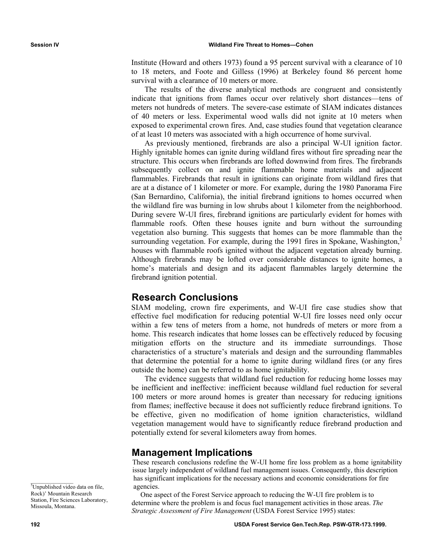(Howard and others 1973) found a 95 percent survival with a clearance of 10 Institute to 18 meters, and Foote and Gilless (1996) at Berkeley found 86 percent home survival with a clearance of 10 meters or more.

The results of the diverse analytical methods are congruent and consistently indicate that ignitions from flames occur over relatively short distances—tens of meters not hundreds of meters. The severe-case estimate of SIAM indicates distances of 40 meters or less. Experimental wood walls did not ignite at 10 meters when exposed to experimental crown fires. And, case studies found that vegetation clearance of at least 10 meters was associated with a high occurrence of home survival.

As previously mentioned, firebrands are also a principal W-UI ignition factor. Highly ignitable homes can ignite during wildland fires without fire spreading near the surrounding vegetation. For example, during the 1991 fires in Spokane, Washington,<sup>5</sup> structure. This occurs when firebrands are lofted downwind from fires. The firebrands subsequently collect on and ignite flammable home materials and adjacent flammables. Firebrands that result in ignitions can originate from wildland fires that are at a distance of 1 kilometer or more. For example, during the 1980 Panorama Fire (San Bernardino, California), the initial firebrand ignitions to homes occurred when the wildland fire was burning in low shrubs about 1 kilometer from the neighborhood. During severe W-UI fires, firebrand ignitions are particularly evident for homes with flammable roofs. Often these houses ignite and burn without the surrounding vegetation also burning. This suggests that homes can be more flammable than the houses with flammable roofs ignited without the adjacent vegetation already burning. Although firebrands may be lofted over considerable distances to ignite homes, a home's materials and design and its adjacent flammables largely determine the firebrand ignition potential.

#### **Research Conclusions**

SIAM modeling, crown fire experiments, and W-UI fire case studies show that effective fuel modification for reducing potential W-UI fire losses need only occur within a few tens of meters from a home, not hundreds of meters or more from a home. This research indicates that home losses can be effectively reduced by focusing mitigation efforts on the structure and its immediate surroundings. Those characteristics of a structure's materials and design and the surrounding flammables that determine the potential for a home to ignite during wildland fires (or any fires outside the home) can be referred to as home ignitability.

The evidence suggests that wildland fuel reduction for reducing home losses may be inefficient and ineffective: inefficient because wildland fuel reduction for several 100 meters or more around homes is greater than necessary for reducing ignitions from flames; ineffective because it does not sufficiently reduce firebrand ignitions. To be effective, given no modification of home ignition characteristics, wildland vegetation management would have to significantly reduce firebrand production and potentially extend for several kilometers away from homes.

#### **Management Implications**

issue largely independent of wildland fuel management issues. Consequently, this description has significant implications for the necessary actions and economic considerations for fire These research conclusions redefine the W-UI home fire loss problem as a home ignitability agencies.

One aspect of the Forest Service approach to reducing the W-UI fire problem is to determine where the problem is and focus fuel management activities in those areas. *The Strategic Assessment of Fire Management* (USDA Forest Service 1995) states:

<sup>5</sup>Unpublished video data on file, Rock)' Mountain Research Station, Fire Sciences Laboratory, Missoula, Montana.

 $\mathcal{L}=\mathcal{L}^{\mathcal{L}}$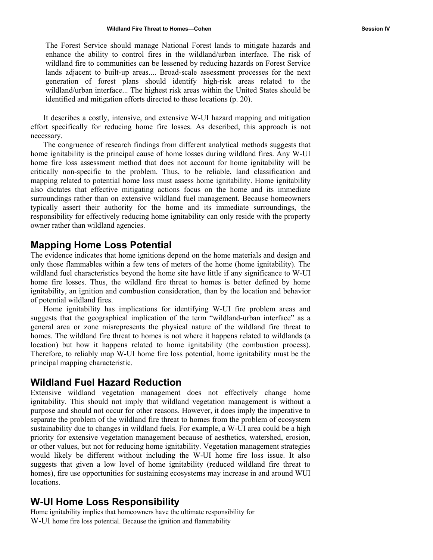The Forest Service should manage National Forest lands to mitigate hazards and enhance the ability to control fires in the wildland/urban interface. The risk of wildland fire to communities can be lessened by reducing hazards on Forest Service lands adjacent to built-up areas.... Broad-scale assessment processes for the next generation of forest plans should identify high-risk areas related to the wildland/urban interface... The highest risk areas within the United States should be identified and mitigation ef forts directed to these locations (p. 20).

It describes a costly, intensive, and extensive W-UI hazard mapping and mitigation effort specifically for reducing home fire losses. As described, this approach is not necessary.

The congruence of research findings from different analytical methods suggests that home ignitability is the principal cause of home losses during wildland fires. Any W-UI home fire loss assessment method that does not account for home ignitability will be critically non-specific to the problem. Thus, to be reliable, land classification and mapping related to potential home loss must assess home ignitability. Home ignitability also dictates that effective mitigating actions focus on the home and its immediate surroundings rather than on extensive wildland fuel management. Because homeowners typically assert their authority for the home and its immediate surroundings, the responsibility for effectively reducing home ignitability can only reside with the property owner rather than wildland agencies.

#### **Mapping Home Loss Potential**

The evidence indicates that home ignitions depend on the home materials and design and only those flammables within a few tens of meters of the home (home ignitability). The wildland fuel characteristics beyond the home site have little if any significance to W-UI home fire losses. Thus, the wildland fire threat to homes is better defined by home ignitability, an ignition and combustion consideration, than by the location and behavior of potential wildland fires.

Home ignitability has implications for identifying W-UI fire problem areas and suggests that the geographical implication of the term "wildland-urban interface" as a general area or zone misrepresents the physical nature of the wildland fire threat to homes. The wildland fire threat to homes is not where it happens related to wildlands (a location) but how it happens related to home ignitability (the combustion process). Therefore, to reliably map W-UI home fire loss potential, home ignitability must be the principal mapping characteristic.

### **Wildland Fuel Hazard Reduction**

Extensive wildland vegetation management does not effectively change home ignitability. This should not imply that wildland vegetation management is without a purpose and should not occur for other reasons. However, it does imply the imperative to separate the problem of the wildland fire threat to homes from the problem of ecosystem sustainability due to changes in wildland fuels. For example, a W-UI area could be a high priority for extensive vegetation management because of aesthetics, watershed, erosion, or other values, but not for reducing home ignitability. Vegetation management strategies would likely be different without including the W-UI home fire loss issue. It also suggests that given a low level of home ignitability (reduced wildland fire threat to homes), fire use opportunities for sustaining ecosystems may increase in and around WUI locations.

#### **Responsibility W-UI Home Loss**

Home ignitability implies that homeowners have the ultimate responsibility for W-UI home fire loss potential. Because the ignition and flammability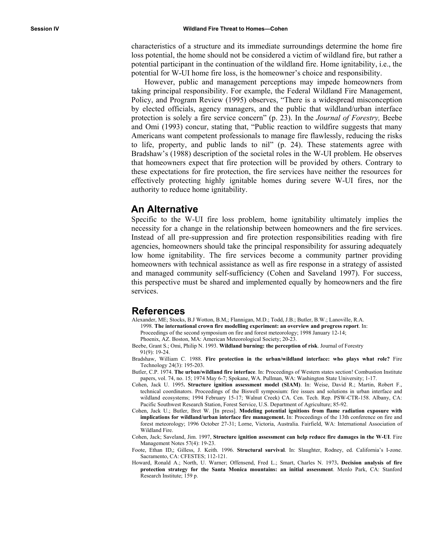characteristics of a structure and its immediate surroundin gs determine the home fire loss potential, the home should not be considered a victim o f wildland fire, but rather a potential participant in the continuation of the wildland fire . Home ignitability, i.e., the potential for W-UI home fire loss, is the homeowner's choi ce and responsibility.

However, public and management perceptions may i mpede homeowners from taking principal responsibility. For example, the Federal W ildland Fire Management, Policy, and Program Review (1995) ob serves, "There is a widespread misconception by elected officials, agency managers, and the public that wildland/urban interface protection is solely a fire service concern" (p. 23). In the *Journal of Forestry*, Beebe and Omi (1993) concur, stating that, "Public reaction to wildfire suggests that many Americans want competent professionals to manage fire flawlessly, reducing the risks to life, property, and public lands to nil" (p. 24). These statements agree with Bradshaw's (1988) description of the societal roles in the W-UI problem. He observes that homeowners expect that fire protection will be provided by others. Contrary to these expectations for fire protection, the fire services have neither the resources for effectively protecting highly ignitable homes during severe W-UI fires, nor the authority to reduce home ignitability.

#### **An Alternative**

Specific to the W-UI fire loss problem, home ignitability ultimately implies the necessity for a change in the relationship between homeowners and the fire services. Instead of all pre-suppression and fire protection responsibilities reading with fire agencies, homeowners should take the principal responsibility for assuring adequately low home ignitability. The fire services become a community partner providing homeowners with technical assistance as well as fire response in a strategy of assisted and managed community self-sufficiency (Cohen and Saveland 1997). For success, this perspective must be shared and implemented equally by homeowners and the fire services.

#### **References**

Alexander, ME; Stocks, B.J Wotton, B.M,; Flannigan, M.D.; Todd, J.B.; Butler, B.W.; Lanoville, R.A. 1998. The international crown fire modelling experiment: an overview and progress report. In: Proceedings of the second symposium on fire and forest meteorology; 1998 January 12-14;

Phoenix, AZ. Boston, MA: American Meteorological Society; 20-23.

- Beebe, Grant S.; Omi, Philip N. 1993. Wildland burning: the perception of risk. Journal of Forestry 91(9): 19-24.
- Bradshaw, William C. 1988. Fire protection in the urban/wildland interface: who plays what role? Fire Technology 24(3): 195-203.
- Butler, C.P. 1974. **The urban/wildland fire interface**. In: Proceedings of Western states section! Combustion Institute papers, vol. 74, no. 15; 1974 May 6-7; Spokane, WA. Pullman, WA: Washington State University; 1-17.
- Cohen, Jack U. 1995. Structure ignition assessment model (SIAM). In: Weise, David R.; Martin, Robert F., technical coordinators. Proceedings of the Biswell symposium: fire issues and solutions in urban interface and wildland ecosystems; 1994 February 15-17; Walnut Creek) CA. Cen. Tech. Rep. PSW-CTR-158. Albany, CA: Pacific Southwest Research Station, Forest Service, U.S. Department of Agriculture; 85-92.
- Cohen, Jack U.; Butler, Bret W. [In press]. Modeling potential ignitions from flame radiation exposure with implications for wildland/urban interface fire management. In: Proceedings of the 13th conference on fire and forest meteorology; 1996 October 27-31; Lorne, Victoria, Australia. Fairfield, WA: International Association of Wildland Fire.
- **uce fire damages in the W-UI**. Fire Cohen, Jack; Saveland, Jim. 1997, **Structure ignition assessment can help red** Management Notes 57(4): 19-23.
- Foote, Ethan ID,; Gilless, J. Keith. 1996. Structural survival. In: Slaughter, Rodney, ed. California's I-zone. Sacramento, CA: CFESTES; 112-121.
- Howard, Ronald A.; North, U. Warner; Offensend, Fred L.; Smart, Charles N. 1973. Decision analysis of fire **ssment**. Menlo Park, CA: Stanford **protection strategy for the Santa Monica mountains: an initial asse** Research Institute; 159 p.